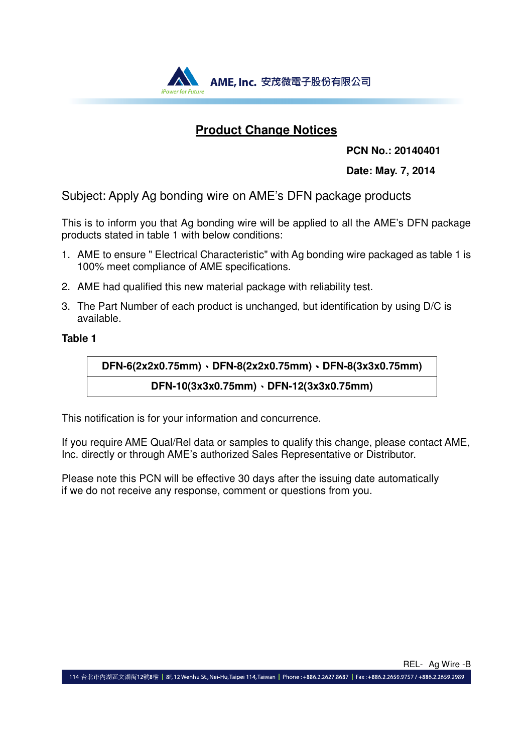

## **Product Change Notices**

**PCN No.: 20140401** 

**Date: May. 7, 2014**

Subject: Apply Ag bonding wire on AME's DFN package products

This is to inform you that Ag bonding wire will be applied to all the AME's DFN package products stated in table 1 with below conditions:

- 1. AME to ensure " Electrical Characteristic" with Ag bonding wire packaged as table 1 is 100% meet compliance of AME specifications.
- 2. AME had qualified this new material package with reliability test.
- 3. The Part Number of each product is unchanged, but identification by using D/C is available.

### **Table 1**

**DFN-6(2x2x0.75mm)**、**DFN-8(2x2x0.75mm)**、**DFN-8(3x3x0.75mm) DFN-10(3x3x0.75mm)**、**DFN-12(3x3x0.75mm)** 

This notification is for your information and concurrence.

If you require AME Qual/Rel data or samples to qualify this change, please contact AME, Inc. directly or through AME's authorized Sales Representative or Distributor.

Please note this PCN will be effective 30 days after the issuing date automatically if we do not receive any response, comment or questions from you.

REL- Ag Wire -B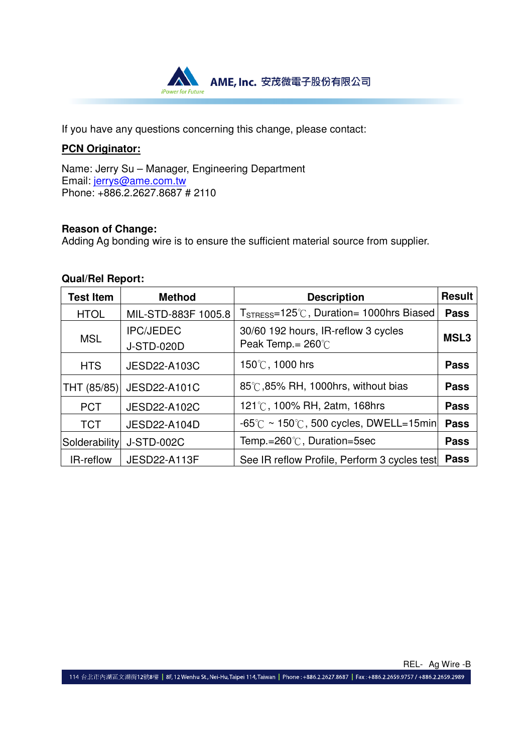

If you have any questions concerning this change, please contact:

## **PCN Originator:**

Name: Jerry Su – Manager, Engineering Department Email: jerrys@ame.com.tw Phone: +886.2.2627.8687 # 2110

#### **Reason of Change:**

Adding Ag bonding wire is to ensure the sufficient material source from supplier.

#### **Qual/Rel Report:**

| <b>Test Item</b> | <b>Method</b>                         | <b>Description</b>                                                  | <b>Result</b>    |
|------------------|---------------------------------------|---------------------------------------------------------------------|------------------|
| <b>HTOL</b>      | MIL-STD-883F 1005.8                   | $T_{STRESS}=125^{\circ}$ C, Duration= 1000hrs Biased                | <b>Pass</b>      |
| <b>MSL</b>       | <b>IPC/JEDEC</b><br><b>J-STD-020D</b> | 30/60 192 hours, IR-reflow 3 cycles<br>Peak Temp. = $260^{\circ}$ C | MSL <sub>3</sub> |
| <b>HTS</b>       | <b>JESD22-A103C</b>                   | 150℃, 1000 hrs                                                      | <b>Pass</b>      |
| THT (85/85)      | <b>JESD22-A101C</b>                   | 85℃,85% RH, 1000hrs, without bias                                   | <b>Pass</b>      |
| <b>PCT</b>       | <b>JESD22-A102C</b>                   | 121°C, 100% RH, 2atm, 168hrs                                        | <b>Pass</b>      |
| <b>TCT</b>       | JESD22-A104D                          | $-65^{\circ}$ C ~ 150 $^{\circ}$ C, 500 cycles, DWELL=15min         | <b>Pass</b>      |
| Solderability    | <b>J-STD-002C</b>                     | Temp.=260°C, Duration=5sec                                          | <b>Pass</b>      |
| IR-reflow        | <b>JESD22-A113F</b>                   | See IR reflow Profile, Perform 3 cycles test                        | <b>Pass</b>      |

REL- Ag Wire -B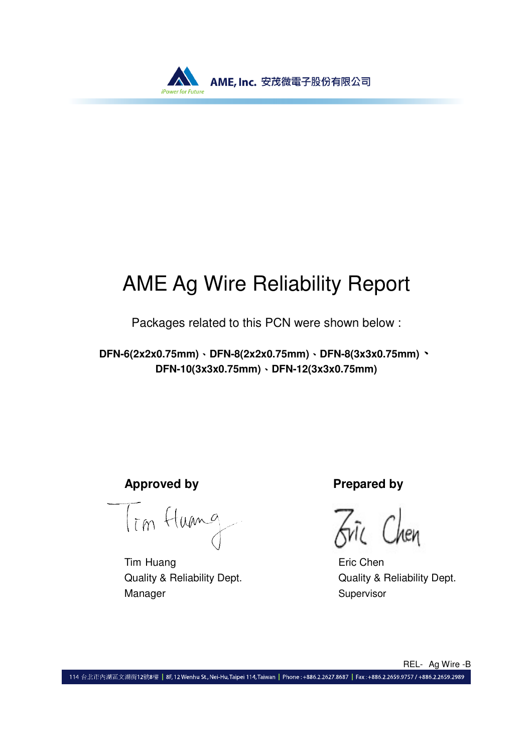

# AME Ag Wire Reliability Report

Packages related to this PCN were shown below :

**DFN-6(2x2x0.75mm)**、**DFN-8(2x2x0.75mm)**、**DFN-8(3x3x0.75mm)**、 **DFN-10(3x3x0.75mm)**、**DFN-12(3x3x0.75mm)**

**Approved by**<br>  $T_{\overline{l}m}$  (tume<br>  $\overline{A}n_{\overline{l}}$   $\overline{C}$   $\overline{l}$ 

Tim Huang **Existence** Eric Chen Quality & Reliability Dept. Quality & Reliability Dept. Manager Supervisor

hen

REL- Ag Wire -B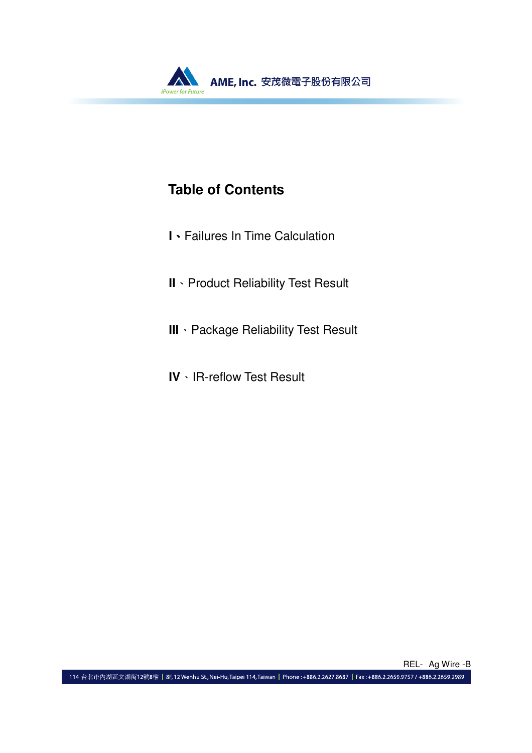

# **Table of Contents**

- **I**、Failures In Time Calculation
- **II**、Product Reliability Test Result
- **III**、Package Reliability Test Result
- **IV**、IR-reflow Test Result

REL- Ag Wire -B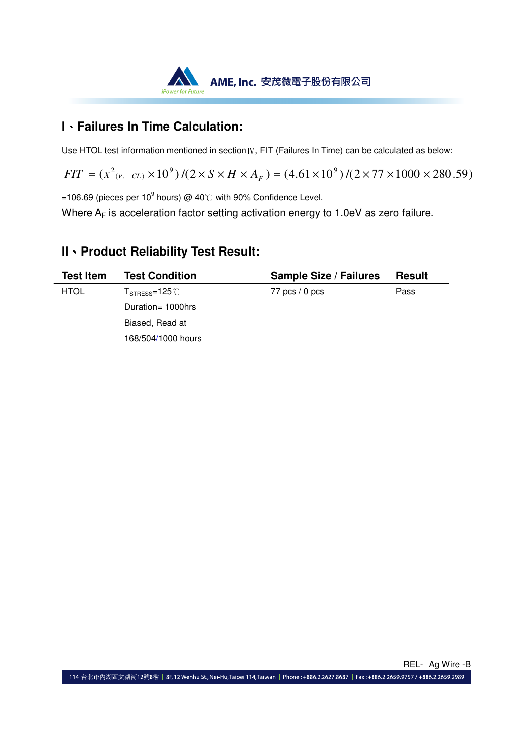

## **I**、**Failures In Time Calculation:**

Use HTOL test information mentioned in section IV, FIT (Failures In Time) can be calculated as below:

 $FIT = (x^2_{(v, CL)} \times 10^9) / (2 \times S \times H \times A_F) = (4.61 \times 10^9) / (2 \times 77 \times 1000 \times 280.59)$ 

=106.69 (pieces per 10 $^9$  hours) @ 40℃ with 90% Confidence Level.

Where  $A_F$  is acceleration factor setting activation energy to 1.0eV as zero failure.

## **II**、**Product Reliability Test Result:**

| <b>Test Item</b> | <b>Test Condition</b>                              | <b>Sample Size / Failures</b> | <b>Result</b> |
|------------------|----------------------------------------------------|-------------------------------|---------------|
| <b>HTOL</b>      | ${\sf T}_{\sf STRESS}\text{=}125\degree\text{C}$ . | $77$ pcs $/ 0$ pcs            | Pass          |
|                  | Duration= 1000hrs                                  |                               |               |
|                  | Biased, Read at                                    |                               |               |
|                  | 168/504/1000 hours                                 |                               |               |
|                  |                                                    |                               |               |

REL- Ag Wire -B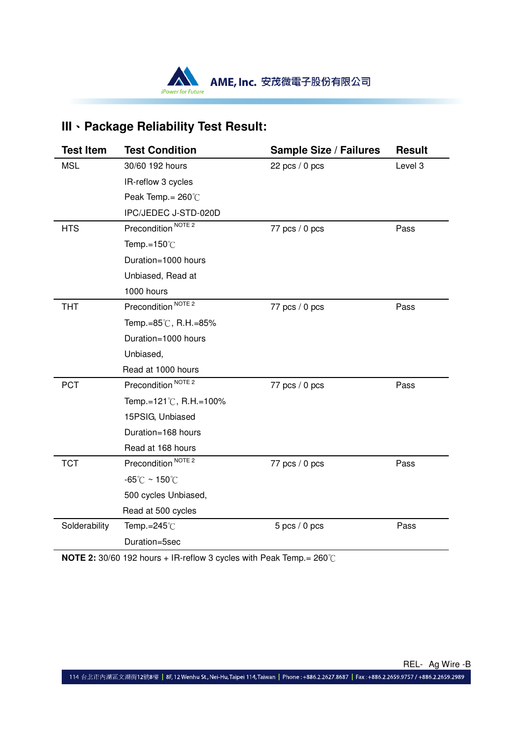

# **III**、**Package Reliability Test Result:**

| <b>Test Item</b> | <b>Test Condition</b>              | <b>Sample Size / Failures</b> | <b>Result</b> |
|------------------|------------------------------------|-------------------------------|---------------|
| <b>MSL</b>       | 30/60 192 hours                    | 22 pcs $/ 0$ pcs              | Level 3       |
|                  | IR-reflow 3 cycles                 |                               |               |
|                  | Peak Temp. = $260^{\circ}$ C       |                               |               |
|                  | IPC/JEDEC J-STD-020D               |                               |               |
| <b>HTS</b>       | Precondition <sup>NOTE 2</sup>     | 77 pcs / 0 pcs                | Pass          |
|                  | Temp.= $150^{\circ}$ C             |                               |               |
|                  | Duration=1000 hours                |                               |               |
|                  | Unbiased, Read at                  |                               |               |
|                  | 1000 hours                         |                               |               |
| <b>THT</b>       | Precondition <sup>NOTE 2</sup>     | 77 pcs $/ 0$ pcs              | Pass          |
|                  | Temp.=85℃, R.H.=85%                |                               |               |
|                  | Duration=1000 hours                |                               |               |
|                  | Unbiased,                          |                               |               |
|                  | Read at 1000 hours                 |                               |               |
| <b>PCT</b>       | Precondition <sup>NOTE 2</sup>     | 77 $pcs/0$ pcs                | Pass          |
|                  | Temp.=121℃, R.H.=100%              |                               |               |
|                  | 15PSIG, Unbiased                   |                               |               |
|                  | Duration=168 hours                 |                               |               |
|                  | Read at 168 hours                  |                               |               |
| <b>TCT</b>       | Precondition <sup>NOTE 2</sup>     | 77 pcs $/ 0$ pcs              | Pass          |
|                  | $-65^{\circ}$ C ~ 150 $^{\circ}$ C |                               |               |
|                  | 500 cycles Unbiased,               |                               |               |
|                  | Read at 500 cycles                 |                               |               |
| Solderability    | Temp.= $245^{\circ}$ C             | $5$ pcs $/ 0$ pcs             | Pass          |
|                  | Duration=5sec                      |                               |               |

**NOTE 2:** 30/60 192 hours + IR-reflow 3 cycles with Peak Temp.= 260℃

REL- Ag Wire -B